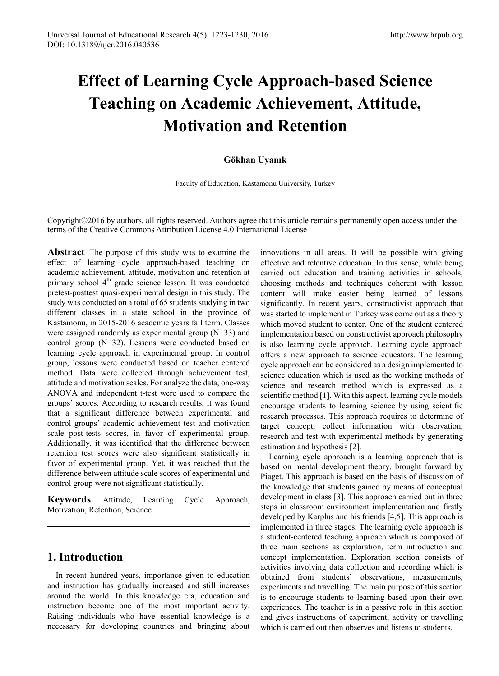# **Effect of Learning Cycle Approach-based Science Teaching on Academic Achievement, Attitude, Motivation and Retention**

## **Gökhan Uyanık**

Faculty of Education, Kastamonu University, Turkey

Copyright©2016 by authors, all rights reserved. Authors agree that this article remains permanently open access under the terms of the Creative Commons Attribution License 4.0 International License

**Abstract** The purpose of this study was to examine the effect of learning cycle approach-based teaching on academic achievement, attitude, motivation and retention at primary school  $4<sup>th</sup>$  grade science lesson. It was conducted pretest-posttest quasi-experimental design in this study. The study was conducted on a total of 65 students studying in two different classes in a state school in the province of Kastamonu, in 2015-2016 academic years fall term. Classes were assigned randomly as experimental group (N=33) and control group (N=32). Lessons were conducted based on learning cycle approach in experimental group. In control group, lessons were conducted based on teacher centered method. Data were collected through achievement test, attitude and motivation scales. For analyze the data, one-way ANOVA and independent t-test were used to compare the groups' scores. According to research results, it was found that a significant difference between experimental and control groups' academic achievement test and motivation scale post-tests scores, in favor of experimental group. Additionally, it was identified that the difference between retention test scores were also significant statistically in favor of experimental group. Yet, it was reached that the difference between attitude scale scores of experimental and control group were not significant statistically.

**Keywords** Attitude, Learning Cycle Approach, Motivation, Retention, Science

# **1. Introduction**

In recent hundred years, importance given to education and instruction has gradually increased and still increases around the world. In this knowledge era, education and instruction become one of the most important activity. Raising individuals who have essential knowledge is a necessary for developing countries and bringing about

innovations in all areas. It will be possible with giving effective and retentive education. In this sense, while being carried out education and training activities in schools, choosing methods and techniques coherent with lesson content will make easier being learned of lessons significantly. In recent years, constructivist approach that was started to implement in Turkey was come out as a theory which moved student to center. One of the student centered implementation based on constructivist approach philosophy is also learning cycle approach. Learning cycle approach offers a new approach to science educators. The learning cycle approach can be considered as a design implemented to science education which is used as the working methods of science and research method which is expressed as a scientific method [1]. With this aspect, learning cycle models encourage students to learning science by using scientific research processes. This approach requires to determine of target concept, collect information with observation, research and test with experimental methods by generating estimation and hypothesis [2].

Learning cycle approach is a learning approach that is based on mental development theory, brought forward by Piaget. This approach is based on the basis of discussion of the knowledge that students gained by means of conceptual development in class [3]. This approach carried out in three steps in classroom environment implementation and firstly developed by Karplus and his friends [4,5]. This approach is implemented in three stages. The learning cycle approach is a student-centered teaching approach which is composed of three main sections as exploration, term introduction and concept implementation. Exploration section consists of activities involving data collection and recording which is obtained from students' observations, measurements, experiments and travelling. The main purpose of this section is to encourage students to learning based upon their own experiences. The teacher is in a passive role in this section and gives instructions of experiment, activity or travelling which is carried out then observes and listens to students.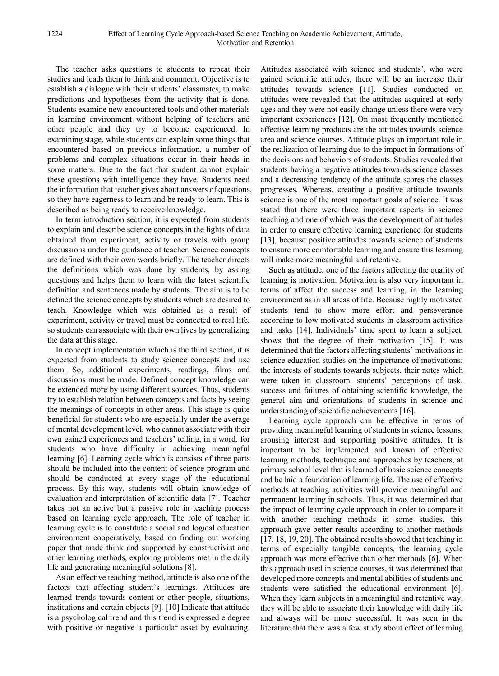The teacher asks questions to students to repeat their studies and leads them to think and comment. Objective is to establish a dialogue with their students' classmates, to make predictions and hypotheses from the activity that is done. Students examine new encountered tools and other materials in learning environment without helping of teachers and other people and they try to become experienced. In examining stage, while students can explain some things that encountered based on previous information, a number of problems and complex situations occur in their heads in some matters. Due to the fact that student cannot explain these questions with intelligence they have. Students need the information that teacher gives about answers of questions, so they have eagerness to learn and be ready to learn. This is described as being ready to receive knowledge.

In term introduction section, it is expected from students to explain and describe science concepts in the lights of data obtained from experiment, activity or travels with group discussions under the guidance of teacher. Science concepts are defined with their own words briefly. The teacher directs the definitions which was done by students, by asking questions and helps them to learn with the latest scientific definition and sentences made by students. The aim is to be defined the science concepts by students which are desired to teach. Knowledge which was obtained as a result of experiment, activity or travel must be connected to real life, so students can associate with their own lives by generalizing the data at this stage.

In concept implementation which is the third section, it is expected from students to study science concepts and use them. So, additional experiments, readings, films and discussions must be made. Defined concept knowledge can be extended more by using different sources. Thus, students try to establish relation between concepts and facts by seeing the meanings of concepts in other areas. This stage is quite beneficial for students who are especially under the average of mental development level, who cannot associate with their own gained experiences and teachers' telling, in a word, for students who have difficulty in achieving meaningful learning [6]. Learning cycle which is consists of three parts should be included into the content of science program and should be conducted at every stage of the educational process. By this way, students will obtain knowledge of evaluation and interpretation of scientific data [7]. Teacher takes not an active but a passive role in teaching process based on learning cycle approach. The role of teacher in learning cycle is to constitute a social and logical education environment cooperatively, based on finding out working paper that made think and supported by constructivist and other learning methods, exploring problems met in the daily life and generating meaningful solutions [8].

As an effective teaching method, attitude is also one of the factors that affecting student's learnings. Attitudes are learned trends towards content or other people, situations, institutions and certain objects [9]. [10] Indicate that attitude is a psychological trend and this trend is expressed e degree with positive or negative a particular asset by evaluating.

Attitudes associated with science and students', who were gained scientific attitudes, there will be an increase their attitudes towards science [11]. Studies conducted on attitudes were revealed that the attitudes acquired at early ages and they were not easily change unless there were very important experiences [12]. On most frequently mentioned affective learning products are the attitudes towards science area and science courses. Attitude plays an important role in the realization of learning due to the impact in formations of the decisions and behaviors of students. Studies revealed that students having a negative attitudes towards science classes and a decreasing tendency of the attitude scores the classes progresses. Whereas, creating a positive attitude towards science is one of the most important goals of science. It was stated that there were three important aspects in science teaching and one of which was the development of attitudes in order to ensure effective learning experience for students [13], because positive attitudes towards science of students to ensure more comfortable learning and ensure this learning will make more meaningful and retentive.

Such as attitude, one of the factors affecting the quality of learning is motivation. Motivation is also very important in terms of affect the success and learning, in the learning environment as in all areas of life. Because highly motivated students tend to show more effort and perseverance according to low motivated students in classroom activities and tasks [14]. Individuals' time spent to learn a subject, shows that the degree of their motivation [15]. It was determined that the factors affecting students' motivations in science education studies on the importance of motivations; the interests of students towards subjects, their notes which were taken in classroom, students' perceptions of task, success and failures of obtaining scientific knowledge, the general aim and orientations of students in science and understanding of scientific achievements [16].

Learning cycle approach can be effective in terms of providing meaningful learning of students in science lessons, arousing interest and supporting positive attitudes. It is important to be implemented and known of effective learning methods, technique and approaches by teachers, at primary school level that is learned of basic science concepts and be laid a foundation of learning life. The use of effective methods at teaching activities will provide meaningful and permanent learning in schools. Thus, it was determined that the impact of learning cycle approach in order to compare it with another teaching methods in some studies, this approach gave better results according to another methods [17, 18, 19, 20]. The obtained results showed that teaching in terms of especially tangible concepts, the learning cycle approach was more effective than other methods [6]. When this approach used in science courses, it was determined that developed more concepts and mental abilities of students and students were satisfied the educational environment [6]. When they learn subjects in a meaningful and retentive way, they will be able to associate their knowledge with daily life and always will be more successful. It was seen in the literature that there was a few study about effect of learning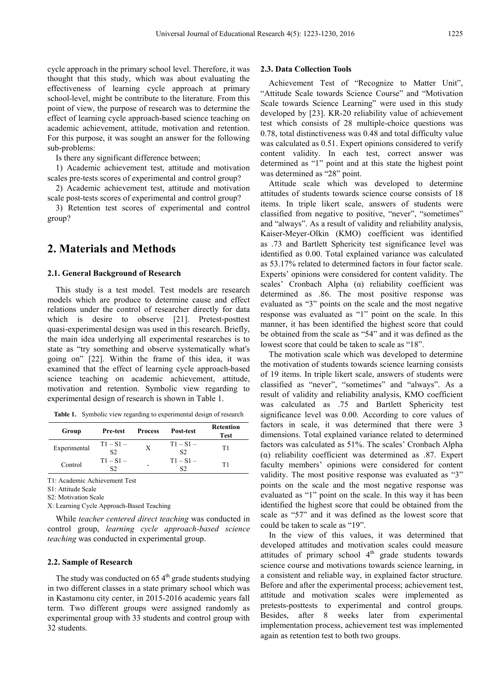cycle approach in the primary school level. Therefore, it was thought that this study, which was about evaluating the effectiveness of learning cycle approach at primary school-level, might be contribute to the literature. From this point of view, the purpose of research was to determine the effect of learning cycle approach-based science teaching on academic achievement, attitude, motivation and retention. For this purpose, it was sought an answer for the following sub-problems:

Is there any significant difference between;

1) Academic achievement test, attitude and motivation scales pre-tests scores of experimental and control group?

2) Academic achievement test, attitude and motivation scale post-tests scores of experimental and control group?

3) Retention test scores of experimental and control group?

# **2. Materials and Methods**

#### **2.1. General Background of Research**

This study is a test model. Test models are research models which are produce to determine cause and effect relations under the control of researcher directly for data which is desire to observe [21]. Pretest-posttest quasi-experimental design was used in this research. Briefly, the main idea underlying all experimental researches is to state as "try something and observe systematically what's going on" [22]. Within the frame of this idea, it was examined that the effect of learning cycle approach-based science teaching on academic achievement, attitude, motivation and retention. Symbolic view regarding to experimental design of research is shown in Table 1.

**Table 1.** Symbolic view regarding to experimental design of research

| Group        | <b>Pre-test</b>               | <b>Process</b> | Post-test                     | Retention<br><b>Test</b> |
|--------------|-------------------------------|----------------|-------------------------------|--------------------------|
| Experimental | $T1 - S1 -$<br>S <sub>2</sub> | X              | $T1 - S1 -$<br>S <sub>2</sub> | T1                       |
| Control      | $T1 - S1 -$<br>S2             | -              | $T1 - S1 -$<br>S2             | T1                       |

T1: Academic Achievement Test

S1: Attitude Scale

S2: Motivation Scale

X: Learning Cycle Approach-Based Teaching

While *teacher centered direct teaching* was conducted in control group, *learning cycle approach-based science teaching* was conducted in experimental group.

#### **2.2. Sample of Research**

The study was conducted on  $65.4<sup>th</sup>$  grade students studying in two different classes in a state primary school which was in Kastamonu city center, in 2015-2016 academic years fall term. Two different groups were assigned randomly as experimental group with 33 students and control group with 32 students.

#### **2.3. Data Collection Tools**

Achievement Test of "Recognize to Matter Unit", "Attitude Scale towards Science Course" and "Motivation Scale towards Science Learning" were used in this study developed by [23]. KR-20 reliability value of achievement test which consists of 28 multiple-choice questions was 0.78, total distinctiveness was 0.48 and total difficulty value was calculated as 0.51. Expert opinions considered to verify content validity. In each test, correct answer was determined as "1" point and at this state the highest point was determined as "28" point.

Attitude scale which was developed to determine attitudes of students towards science course consists of 18 items. In triple likert scale, answers of students were classified from negative to positive, "never", "sometimes" and "always". As a result of validity and reliability analysis, Kaiser-Meyer-Olkin (KMO) coefficient was identified as .73 and Bartlett Sphericity test significance level was identified as 0.00. Total explained variance was calculated as 53.17% related to determined factors in four factor scale. Experts' opinions were considered for content validity. The scales' Cronbach Alpha (α) reliability coefficient was determined as .86. The most positive response was evaluated as "3" points on the scale and the most negative response was evaluated as "1" point on the scale. In this manner, it has been identified the highest score that could be obtained from the scale as "54" and it was defined as the lowest score that could be taken to scale as "18".

The motivation scale which was developed to determine the motivation of students towards science learning consists of 19 items. In triple likert scale, answers of students were classified as "never", "sometimes" and "always". As a result of validity and reliability analysis, KMO coefficient was calculated as .75 and Bartlett Sphericity test significance level was 0.00. According to core values of factors in scale, it was determined that there were 3 dimensions. Total explained variance related to determined factors was calculated as 51%. The scales' Cronbach Alpha (α) reliability coefficient was determined as .87. Expert faculty members' opinions were considered for content validity. The most positive response was evaluated as "3" points on the scale and the most negative response was evaluated as "1" point on the scale. In this way it has been identified the highest score that could be obtained from the scale as "57" and it was defined as the lowest score that could be taken to scale as "19".

In the view of this values, it was determined that developed attitudes and motivation scales could measure attitudes of primary school 4<sup>th</sup> grade students towards science course and motivations towards science learning, in a consistent and reliable way, in explained factor structure. Before and after the experimental process; achievement test, attitude and motivation scales were implemented as pretests-posttests to experimental and control groups. Besides, after 8 weeks later from experimental implementation process, achievement test was implemented again as retention test to both two groups.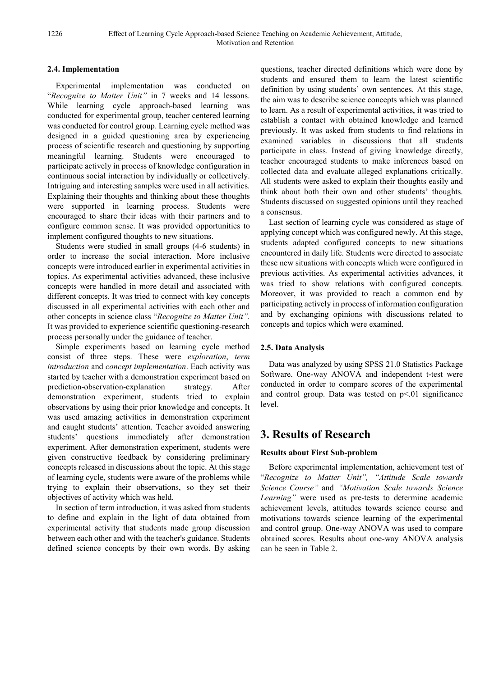### **2.4. Implementation**

Experimental implementation was conducted on "*Recognize to Matter Unit"* in 7 weeks and 14 lessons. While learning cycle approach-based learning was conducted for experimental group, teacher centered learning was conducted for control group. Learning cycle method was designed in a guided questioning area by experiencing process of scientific research and questioning by supporting meaningful learning. Students were encouraged to participate actively in process of knowledge configuration in continuous social interaction by individually or collectively. Intriguing and interesting samples were used in all activities. Explaining their thoughts and thinking about these thoughts were supported in learning process. Students were encouraged to share their ideas with their partners and to configure common sense. It was provided opportunities to implement configured thoughts to new situations.

Students were studied in small groups (4-6 students) in order to increase the social interaction. More inclusive concepts were introduced earlier in experimental activities in topics. As experimental activities advanced, these inclusive concepts were handled in more detail and associated with different concepts. It was tried to connect with key concepts discussed in all experimental activities with each other and other concepts in science class "*Recognize to Matter Unit".*  It was provided to experience scientific questioning-research process personally under the guidance of teacher.

Simple experiments based on learning cycle method consist of three steps. These were *exploration*, *term introduction* and *concept implementation*. Each activity was started by teacher with a demonstration experiment based on prediction-observation-explanation strategy. After demonstration experiment, students tried to explain observations by using their prior knowledge and concepts. It was used amazing activities in demonstration experiment and caught students' attention. Teacher avoided answering students' questions immediately after demonstration experiment. After demonstration experiment, students were given constructive feedback by considering preliminary concepts released in discussions about the topic. At this stage of learning cycle, students were aware of the problems while trying to explain their observations, so they set their objectives of activity which was held.

In section of term introduction, it was asked from students to define and explain in the light of data obtained from experimental activity that students made group discussion between each other and with the teacher's guidance. Students defined science concepts by their own words. By asking

questions, teacher directed definitions which were done by students and ensured them to learn the latest scientific definition by using students' own sentences. At this stage, the aim was to describe science concepts which was planned to learn. As a result of experimental activities, it was tried to establish a contact with obtained knowledge and learned previously. It was asked from students to find relations in examined variables in discussions that all students participate in class. Instead of giving knowledge directly, teacher encouraged students to make inferences based on collected data and evaluate alleged explanations critically. All students were asked to explain their thoughts easily and think about both their own and other students' thoughts. Students discussed on suggested opinions until they reached a consensus.

Last section of learning cycle was considered as stage of applying concept which was configured newly. At this stage, students adapted configured concepts to new situations encountered in daily life. Students were directed to associate these new situations with concepts which were configured in previous activities. As experimental activities advances, it was tried to show relations with configured concepts. Moreover, it was provided to reach a common end by participating actively in process of information configuration and by exchanging opinions with discussions related to concepts and topics which were examined.

## **2.5. Data Analysis**

Data was analyzed by using SPSS 21.0 Statistics Package Software. One-way ANOVA and independent t-test were conducted in order to compare scores of the experimental and control group. Data was tested on  $p<01$  significance level.

# **3. Results of Research**

## **Results about First Sub-problem**

Before experimental implementation, achievement test of "*Recognize to Matter Unit", "Attitude Scale towards Science Course"* and *"Motivation Scale towards Science Learning"* were used as pre-tests to determine academic achievement levels, attitudes towards science course and motivations towards science learning of the experimental and control group. One-way ANOVA was used to compare obtained scores. Results about one-way ANOVA analysis can be seen in Table 2.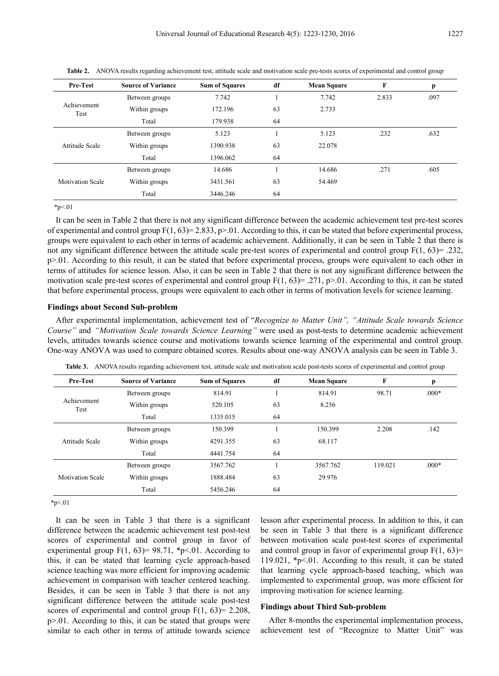| Pre-Test                | <b>Source of Variance</b> | <b>Sum of Squares</b> | df | <b>Mean Square</b> | F     | р    |
|-------------------------|---------------------------|-----------------------|----|--------------------|-------|------|
|                         | Between groups            | 7.742                 |    | 7.742              | 2.833 | .097 |
| Achievement<br>Test     | Within groups             | 172.196               | 63 | 2.733              |       |      |
|                         | Total                     | 179.938               | 64 |                    |       |      |
|                         | Between groups            | 5.123                 |    | 5.123              | .232  | .632 |
| Attitude Scale          | Within groups             | 1390.938              | 63 | 22.078             |       |      |
|                         | Total                     | 1396.062              | 64 |                    |       |      |
|                         | Between groups            | 14.686                |    | 14.686             | .271  | .605 |
| <b>Motivation Scale</b> | Within groups             | 3431.561              | 63 | 54.469             |       |      |
|                         | Total                     | 3446.246              | 64 |                    |       |      |

**Table 2.** ANOVA results regarding achievement test, attitude scale and motivation scale pre-tests scores of experimental and control group

 $*_{p<.01}$ 

It can be seen in Table 2 that there is not any significant difference between the academic achievement test pre-test scores of experimental and control group  $F(1, 63) = 2.833$ ,  $p > 0.01$ . According to this, it can be stated that before experimental process, groups were equivalent to each other in terms of academic achievement. Additionally, it can be seen in Table 2 that there is not any significant difference between the attitude scale pre-test scores of experimental and control group F(1, 63)= .232, p>.01. According to this result, it can be stated that before experimental process, groups were equivalent to each other in terms of attitudes for science lesson. Also, it can be seen in Table 2 that there is not any significant difference between the motivation scale pre-test scores of experimental and control group  $F(1, 63) = .271$ , p>.01. According to this, it can be stated that before experimental process, groups were equivalent to each other in terms of motivation levels for science learning.

#### **Findings about Second Sub-problem**

After experimental implementation, achievement test of "*Recognize to Matter Unit", "Attitude Scale towards Science Course"* and *"Motivation Scale towards Science Learning"* were used as post-tests to determine academic achievement levels, attitudes towards science course and motivations towards science learning of the experimental and control group. One-way ANOVA was used to compare obtained scores. Results about one-way ANOVA analysis can be seen in Table 3.

| <b>Pre-Test</b>                                                 | <b>Source of Variance</b> | <b>Sum of Squares</b> | df | <b>Mean Square</b> | F                             | p       |
|-----------------------------------------------------------------|---------------------------|-----------------------|----|--------------------|-------------------------------|---------|
| Between groups<br>Achievement<br>Within groups<br>Test<br>Total |                           | 814.91                |    | 814.91             | 98.71                         | $.000*$ |
|                                                                 |                           | 520.105               | 63 | 8.256              |                               |         |
|                                                                 | 1335.015                  | 64                    |    |                    |                               |         |
| Attitude Scale                                                  | Between groups            | 150.399               |    | 150.399            | 2.208                         | .142    |
|                                                                 | Within groups             | 4291.355              | 63 | 68.117             |                               |         |
|                                                                 | Total                     | 4441.754              | 64 |                    | 3567.762<br>119.021<br>29.976 |         |
|                                                                 | Between groups            | 3567.762              |    |                    |                               | $.000*$ |
| <b>Motivation Scale</b>                                         | Within groups             | 1888.484              | 63 |                    |                               |         |
|                                                                 | Total                     | 5456.246              | 64 |                    |                               |         |

**Table 3.** ANOVA results regarding achievement test, attitude scale and motivation scale post-tests scores of experimental and control group

 $*_{p<.01}$ 

It can be seen in Table 3 that there is a significant difference between the academic achievement test post-test scores of experimental and control group in favor of experimental group  $F(1, 63)= 98.71$ , \*p<.01. According to this, it can be stated that learning cycle approach-based science teaching was more efficient for improving academic achievement in comparison with teacher centered teaching. Besides, it can be seen in Table 3 that there is not any significant difference between the attitude scale post-test scores of experimental and control group  $F(1, 63)= 2.208$ , p>.01. According to this, it can be stated that groups were similar to each other in terms of attitude towards science

lesson after experimental process. In addition to this, it can be seen in Table 3 that there is a significant difference between motivation scale post-test scores of experimental and control group in favor of experimental group  $F(1, 63)$ = 119.021, \*p<.01. According to this result, it can be stated that learning cycle approach-based teaching, which was implemented to experimental group, was more efficient for improving motivation for science learning.

#### **Findings about Third Sub-problem**

After 8-months the experimental implementation process, achievement test of "Recognize to Matter Unit" was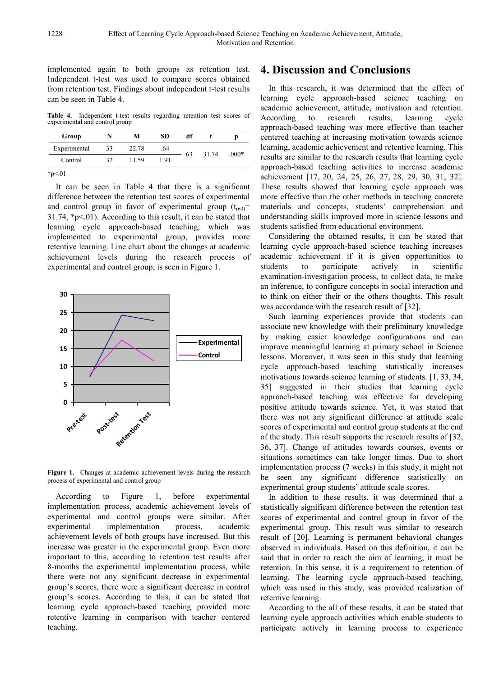implemented again to both groups as retention test. Independent t-test was used to compare scores obtained from retention test. Findings about independent t-test results can be seen in Table 4.

**Table 4.** Independent t-test results regarding retention test scores of experimental and control group

| Group        |    | М     | <b>SD</b> | df |       |         |
|--------------|----|-------|-----------|----|-------|---------|
| Experimental | 33 | 22.78 | .64       | 63 | 31.74 | $.000*$ |
| Control      | 32 | 11.59 | 191       |    |       |         |

 $*p<.01$ 

It can be seen in Table 4 that there is a significant difference between the retention test scores of experimental and control group in favor of experimental group  $(t_{(63)}=$ 31.74, \*p<.01). According to this result, it can be stated that learning cycle approach-based teaching, which was implemented to experimental group, provides more retentive learning. Line chart about the changes at academic achievement levels during the research process of experimental and control group, is seen in Figure 1.



**Figure 1.** Changes at academic achievement levels during the research process of experimental and control group

According to Figure 1, before experimental implementation process, academic achievement levels of experimental and control groups were similar. After experimental implementation process, academic achievement levels of both groups have increased. But this increase was greater in the experimental group. Even more important to this, according to retention test results after 8-months the experimental implementation process, while there were not any significant decrease in experimental group's scores, there were a significant decrease in control group's scores. According to this, it can be stated that learning cycle approach-based teaching provided more retentive learning in comparison with teacher centered teaching.

# **4. Discussion and Conclusions**

In this research, it was determined that the effect of learning cycle approach-based science teaching on academic achievement, attitude, motivation and retention. According to research results, learning cycle approach-based teaching was more effective than teacher centered teaching at increasing motivation towards science learning, academic achievement and retentive learning. This results are similar to the research results that learning cycle approach-based teaching activities to increase academic achievement [17, 20, 24, 25, 26, 27, 28, 29, 30, 31, 32]. These results showed that learning cycle approach was more effective than the other methods in teaching concrete materials and concepts, students' comprehension and understanding skills improved more in science lessons and students satisfied from educational environment.

Considering the obtained results, it can be stated that learning cycle approach-based science teaching increases academic achievement if it is given opportunities to students to participate actively in scientific examination-investigation process, to collect data, to make an inference, to configure concepts in social interaction and to think on either their or the others thoughts. This result was accordance with the research result of [32].

Such learning experiences provide that students can associate new knowledge with their preliminary knowledge by making easier knowledge configurations and can improve meaningful learning at primary school in Science lessons. Moreover, it was seen in this study that learning cycle approach-based teaching statistically increases motivations towards science learning of students. [1, 33, 34, 35] suggested in their studies that learning cycle approach-based teaching was effective for developing positive attitude towards science. Yet, it was stated that there was not any significant difference at attitude scale scores of experimental and control group students at the end of the study. This result supports the research results of [32, 36, 37]. Change of attitudes towards courses, events or situations sometimes can take longer times. Due to short implementation process (7 weeks) in this study, it might not be seen any significant difference statistically on experimental group students' attitude scale scores.

In addition to these results, it was determined that a statistically significant difference between the retention test scores of experimental and control group in favor of the experimental group. This result was similar to research result of [20]. Learning is permanent behavioral changes observed in individuals. Based on this definition, it can be said that in order to reach the aim of learning, it must be retention. In this sense, it is a requirement to retention of learning. The learning cycle approach-based teaching, which was used in this study, was provided realization of retentive learning.

According to the all of these results, it can be stated that learning cycle approach activities which enable students to participate actively in learning process to experience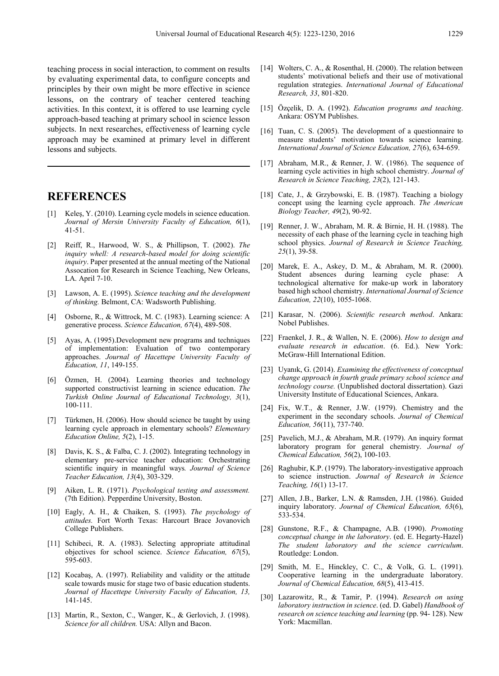teaching process in social interaction, to comment on results by evaluating experimental data, to configure concepts and principles by their own might be more effective in science lessons, on the contrary of teacher centered teaching activities. In this context, it is offered to use learning cycle approach-based teaching at primary school in science lesson subjects. In next researches, effectiveness of learning cycle approach may be examined at primary level in different lessons and subjects.

## **REFERENCES**

- [1] Keleş, Y. (2010). Learning cycle models in science education. *Journal of Mersin University Faculty of Education, 6*(1), 41-51.
- [2] Reiff, R., Harwood, W. S., & Phillipson, T. (2002). *The inquiry whell: A research-based model for doing scientific inquiry*. Paper presented at the annual meeting of the National Assocation for Research in Science Teaching, New Orleans, LA. April 7-10.
- [3] Lawson, A. E. (1995). *Science teaching and the development of thinking.* Belmont, CA: Wadsworth Publishing.
- [4] Osborne, R., & Wittrock, M. C. (1983). Learning science: A generative process. *Science Education, 67*(4), 489-508.
- [5] Ayas, A. (1995).Development new programs and techniques of implementation: Evaluation of two contemporary approaches. *Journal of Hacettepe University Faculty of Education, 11*, 149-155.
- [6] Özmen, H. (2004). Learning theories and technology supported constructivist learning in science education. *The Turkish Online Journal of Educational Technology, 3*(1), 100-111.
- [7] Türkmen, H. (2006). How should science be taught by using learning cycle approach in elementary schools? *Elementary Education Online, 5*(2), 1-15.
- [8] Davis, K. S., & Falba, C. J. (2002). Integrating technology in elementary pre-service teacher education: Orchestrating scientific inquiry in meaningful ways*. Journal of Science Teacher Education, 13*(4), 303-329.
- [9] Aiken, L. R. (1971). *Psychological testing and assessment.* (7th Edition). Pepperdine University, Boston.
- [10] Eagly, A. H., & Chaiken, S. (1993). *The psychology of attitudes.* Fort Worth Texas: Harcourt Brace Jovanovich College Publishers.
- [11] Schibeci, R. A. (1983). Selecting appropriate attitudinal objectives for school science. *Science Education, 67*(5), 595-603.
- [12] Kocabaş, A. (1997). Reliability and validity or the attitude scale towards music for stage two of basic education students. *Journal of Hacettepe University Faculty of Education, 13,* 141-145.
- [13] Martin, R., Sexton, C., Wanger, K., & Gerlovich, J. (1998). *Science for all children.* USA: Allyn and Bacon.
- [14] Wolters, C. A., & Rosenthal, H. (2000). The relation between students' motivational beliefs and their use of motivational regulation strategies. *International Journal of Educational Research, 33*, 801-820.
- [15] Özçelik, D. A. (1992). *Education programs and teaching*. Ankara: OSYM Publishes.
- [16] Tuan, C. S. (2005). The development of a questionnaire to measure students' motivation towards science learning. *International Journal of Science Education, 27*(6), 634-659.
- [17] Abraham, M.R., & Renner, J. W. (1986). The sequence of learning cycle activities in high school chemistry. *Journal of Research in Science Teaching, 23*(2), 121-143.
- [18] Cate, J., & Grzybowski, E. B. (1987). Teaching a biology concept using the learning cycle approach. *The American Biology Teacher, 49*(2), 90-92.
- [19] Renner, J. W., Abraham, M. R. & Birnie, H. H. (1988). The necessity of each phase of the learning cycle in teaching high school physics. *Journal of Research in Science Teaching, 25*(1), 39-58.
- [20] Marek, E. A., Askey, D. M., & Abraham, M. R. (2000). Student absences during learning cycle phase: A technological alternative for make-up work in laboratory based high school chemistry. *International Journal of Science Education, 22*(10), 1055-1068.
- [21] Karasar, N. (2006). *Scientific research method*. Ankara: Nobel Publishes.
- [22] Fraenkel, J. R., & Wallen, N. E. (2006). *How to design and evaluate research in education*. (6. Ed.). New York: McGraw-Hill International Edition.
- [23] Uyanık, G. (2014). *Examining the effectiveness of conceptual change approach in fourth grade primary school science and technology course.* (Unpublished doctoral dissertation). Gazi University Institute of Educational Sciences, Ankara.
- [24] Fix, W.T., & Renner, J.W. (1979). Chemistry and the experiment in the secondary schools. *Journal of Chemical Education, 56*(11), 737-740.
- [25] Pavelich, M.J., & Abraham, M.R. (1979). An inquiry format laboratory program for general chemistry. *Journal of Chemical Education, 56*(2), 100-103.
- [26] Raghubir, K.P. (1979). The laboratory-investigative approach to science instruction. *Journal of Research in Science Teaching, 16*(1) 13-17.
- [27] Allen, J.B., Barker, L.N. & Ramsden, J.H. (1986). Guided inquiry laboratory. *Journal of Chemical Education, 63*(6), 533-534.
- [28] Gunstone, R.F., & Champagne, A.B. (1990). *Promoting conceptual change in the laboratory*. (ed. E. Hegarty-Hazel) *The student laboratory and the science curriculum*. Routledge: London.
- [29] Smith, M. E., Hinckley, C. C., & Volk, G. L. (1991). Cooperative learning in the undergraduate laboratory. *Journal of Chemical Education, 68*(5), 413-415.
- [30] Lazarowitz, R., & Tamir, P. (1994). *Research on using laboratory instruction in science*. (ed. D. Gabel) *Handbook of research on science teaching and learning* (pp. 94- 128). New York: Macmillan.